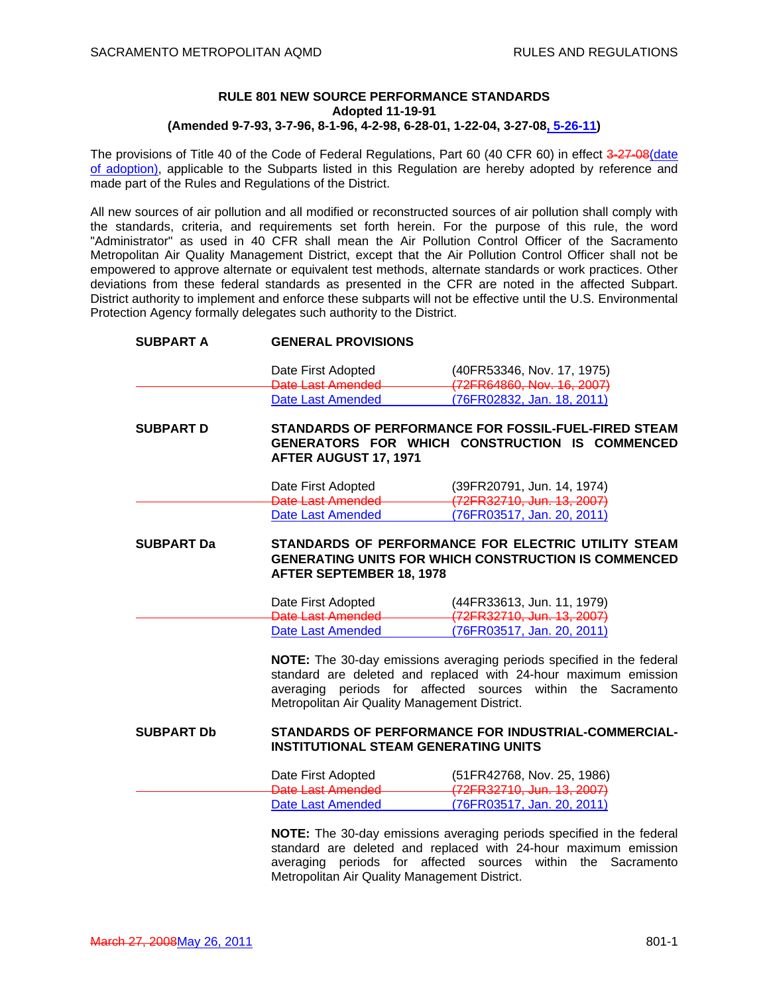# **RULE 801 NEW SOURCE PERFORMANCE STANDARDS Adopted 11-19-91 (Amended 9-7-93, 3-7-96, 8-1-96, 4-2-98, 6-28-01, 1-22-04, 3-27-08, 5-26-11)**

The provisions of Title 40 of the Code of Federal Regulations, Part 60 (40 CFR 60) in effect 3-27-08 (date of adoption), applicable to the Subparts listed in this Regulation are hereby adopted by reference and made part of the Rules and Regulations of the District.

All new sources of air pollution and all modified or reconstructed sources of air pollution shall comply with the standards, criteria, and requirements set forth herein. For the purpose of this rule, the word "Administrator" as used in 40 CFR shall mean the Air Pollution Control Officer of the Sacramento Metropolitan Air Quality Management District, except that the Air Pollution Control Officer shall not be empowered to approve alternate or equivalent test methods, alternate standards or work practices. Other deviations from these federal standards as presented in the CFR are noted in the affected Subpart. District authority to implement and enforce these subparts will not be effective until the U.S. Environmental Protection Agency formally delegates such authority to the District.

| <b>SUBPART A</b>  | <b>GENERAL PROVISIONS</b>                                                                                                       |                                                                                                                                                                                                          |  |
|-------------------|---------------------------------------------------------------------------------------------------------------------------------|----------------------------------------------------------------------------------------------------------------------------------------------------------------------------------------------------------|--|
|                   | Date First Adopted                                                                                                              | (40FR53346, Nov. 17, 1975)                                                                                                                                                                               |  |
|                   | Date Last Amended                                                                                                               | (72FR64860, Nov. 16, 2007)                                                                                                                                                                               |  |
|                   | <b>Date Last Amended</b>                                                                                                        | (76FR02832, Jan. 18, 2011)                                                                                                                                                                               |  |
| <b>SUBPART D</b>  | STANDARDS OF PERFORMANCE FOR FOSSIL-FUEL-FIRED STEAM<br>GENERATORS FOR WHICH CONSTRUCTION IS COMMENCED<br>AFTER AUGUST 17, 1971 |                                                                                                                                                                                                          |  |
|                   | Date First Adopted                                                                                                              | (39FR20791, Jun. 14, 1974)                                                                                                                                                                               |  |
|                   | Date Last Amended                                                                                                               | (72FR32710, Jun. 13, 2007)                                                                                                                                                                               |  |
|                   | <b>Date Last Amended</b>                                                                                                        | (76FR03517, Jan. 20, 2011)                                                                                                                                                                               |  |
| <b>SUBPART Da</b> | <b>AFTER SEPTEMBER 18, 1978</b>                                                                                                 | STANDARDS OF PERFORMANCE FOR ELECTRIC UTILITY STEAM<br><b>GENERATING UNITS FOR WHICH CONSTRUCTION IS COMMENCED</b>                                                                                       |  |
|                   | Date First Adopted                                                                                                              | (44FR33613, Jun. 11, 1979)                                                                                                                                                                               |  |
|                   | Date Last Amended                                                                                                               | (72FR32710, Jun. 13, 2007)                                                                                                                                                                               |  |
|                   | <b>Date Last Amended</b>                                                                                                        | (76FR03517, Jan. 20, 2011)                                                                                                                                                                               |  |
|                   | Metropolitan Air Quality Management District.                                                                                   | NOTE: The 30-day emissions averaging periods specified in the federal<br>standard are deleted and replaced with 24-hour maximum emission<br>averaging periods for affected sources within the Sacramento |  |
| <b>SUBPART Db</b> | STANDARDS OF PERFORMANCE FOR INDUSTRIAL-COMMERCIAL-<br><b>INSTITUTIONAL STEAM GENERATING UNITS</b>                              |                                                                                                                                                                                                          |  |
|                   | Date First Adopted                                                                                                              | (51FR42768, Nov. 25, 1986)                                                                                                                                                                               |  |
|                   | Date Last Amended                                                                                                               | (72FR32710, Jun. 13, 2007)                                                                                                                                                                               |  |
|                   | <b>Date Last Amended</b>                                                                                                        | (76FR03517, Jan. 20, 2011)                                                                                                                                                                               |  |
|                   |                                                                                                                                 | NOTE: The 30-day emissions averaging periods specified in the federal                                                                                                                                    |  |

**NOTE:** The 30-day emissions averaging periods specified in the federal standard are deleted and replaced with 24-hour maximum emission averaging periods for affected sources within the Sacramento Metropolitan Air Quality Management District.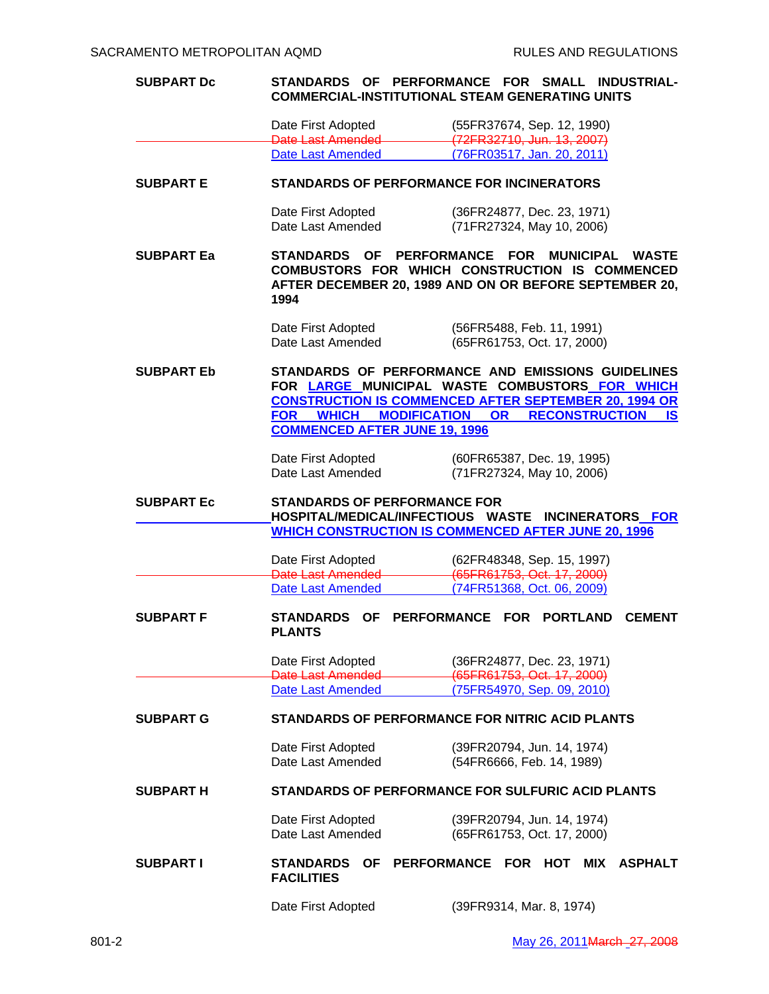| <b>SUBPART Dc</b> | <b>STANDARDS</b>                                                    | <b>OF PERFORMANCE FOR</b><br>SMALL INDUSTRIAL-<br><b>COMMERCIAL-INSTITUTIONAL STEAM GENERATING UNITS</b>                                                                                                                            |
|-------------------|---------------------------------------------------------------------|-------------------------------------------------------------------------------------------------------------------------------------------------------------------------------------------------------------------------------------|
|                   | Date First Adopted                                                  | (55FR37674, Sep. 12, 1990)                                                                                                                                                                                                          |
|                   | Date Last Amended                                                   | (72FR32710, Jun. 13, 2007)                                                                                                                                                                                                          |
|                   | Date Last Amended                                                   | (76FR03517, Jan. 20, 2011)                                                                                                                                                                                                          |
| <b>SUBPART E</b>  | <b>STANDARDS OF PERFORMANCE FOR INCINERATORS</b>                    |                                                                                                                                                                                                                                     |
|                   | Date First Adopted                                                  | (36FR24877, Dec. 23, 1971)                                                                                                                                                                                                          |
|                   | Date Last Amended                                                   | (71FR27324, May 10, 2006)                                                                                                                                                                                                           |
| <b>SUBPART Ea</b> | STANDARDS OF<br>1994                                                | <b>PERFORMANCE</b><br><b>FOR</b><br><b>MUNICIPAL</b><br><b>WASTE</b><br>COMBUSTORS FOR WHICH CONSTRUCTION IS COMMENCED<br>AFTER DECEMBER 20, 1989 AND ON OR BEFORE SEPTEMBER 20,                                                    |
|                   | Date First Adopted<br>Date Last Amended                             | (56FR5488, Feb. 11, 1991)<br>(65FR61753, Oct. 17, 2000)                                                                                                                                                                             |
| <b>SUBPART Eb</b> | <b>FOR WHICH</b><br><b>COMMENCED AFTER JUNE 19, 1996</b>            | STANDARDS OF PERFORMANCE AND EMISSIONS GUIDELINES<br>FOR LARGE MUNICIPAL WASTE COMBUSTORS FOR WHICH<br><b>CONSTRUCTION IS COMMENCED AFTER SEPTEMBER 20, 1994 OR</b><br><b>MODIFICATION OR</b><br><b>RECONSTRUCTION</b><br><b>IS</b> |
|                   | Date First Adopted                                                  | (60FR65387, Dec. 19, 1995)                                                                                                                                                                                                          |
|                   | Date Last Amended                                                   | (71FR27324, May 10, 2006)                                                                                                                                                                                                           |
|                   |                                                                     |                                                                                                                                                                                                                                     |
| <b>SUBPART Ec</b> | <b>STANDARDS OF PERFORMANCE FOR</b>                                 | HOSPITAL/MEDICAL/INFECTIOUS WASTE INCINERATORS FOR                                                                                                                                                                                  |
|                   |                                                                     | <b>WHICH CONSTRUCTION IS COMMENCED AFTER JUNE 20, 1996</b>                                                                                                                                                                          |
|                   | Date First Adopted                                                  | (62FR48348, Sep. 15, 1997)                                                                                                                                                                                                          |
|                   | Date Last Amended                                                   | (65FR61753, Oct. 17, 2000)                                                                                                                                                                                                          |
| <b>SUBPART F</b>  | <b>Date Last Amended</b><br><b>STANDARDS</b><br>ΟF<br><b>PLANTS</b> | (74FR51368, Oct. 06, 2009)<br><b>PERFORMANCE</b><br><b>PORTLAND</b><br><b>FOR</b><br><b>CEMENT</b>                                                                                                                                  |
|                   | Date First Adopted                                                  | (36FR24877, Dec. 23, 1971)                                                                                                                                                                                                          |
|                   | Date Last Amended<br><b>Date Last Amended</b>                       | (65FR61753, Oct. 17, 2000)<br>(75FR54970, Sep. 09, 2010)                                                                                                                                                                            |
| <b>SUBPART G</b>  |                                                                     | <b>STANDARDS OF PERFORMANCE FOR NITRIC ACID PLANTS</b>                                                                                                                                                                              |
|                   | Date First Adopted<br>Date Last Amended                             | (39FR20794, Jun. 14, 1974)<br>(54FR6666, Feb. 14, 1989)                                                                                                                                                                             |
| <b>SUBPART H</b>  |                                                                     | STANDARDS OF PERFORMANCE FOR SULFURIC ACID PLANTS                                                                                                                                                                                   |
|                   | Date First Adopted<br>Date Last Amended                             | (39FR20794, Jun. 14, 1974)<br>(65FR61753, Oct. 17, 2000)                                                                                                                                                                            |
| <b>SUBPART I</b>  | <b>STANDARDS</b><br>OF<br><b>FACILITIES</b>                         | PERFORMANCE FOR HOT<br><b>MIX</b><br><b>ASPHALT</b>                                                                                                                                                                                 |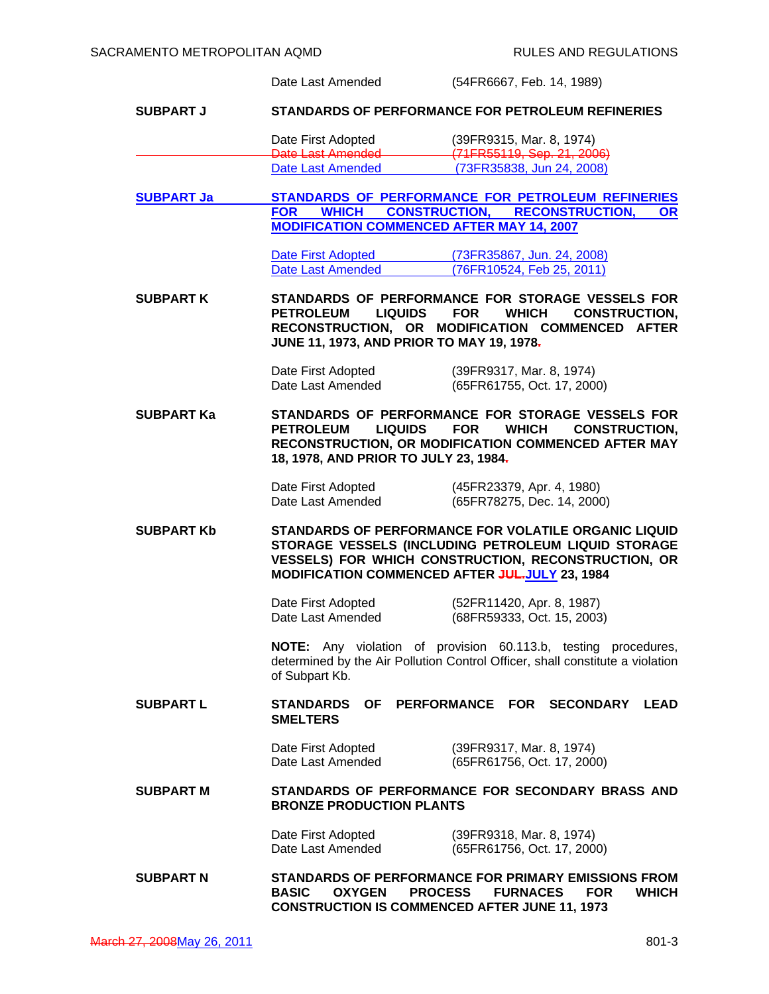|                   | Date Last Amended                                                                                                                                                                                                                            | (54FR6667, Feb. 14, 1989)                                                                                                                                                        |
|-------------------|----------------------------------------------------------------------------------------------------------------------------------------------------------------------------------------------------------------------------------------------|----------------------------------------------------------------------------------------------------------------------------------------------------------------------------------|
| <b>SUBPART J</b>  |                                                                                                                                                                                                                                              | <b>STANDARDS OF PERFORMANCE FOR PETROLEUM REFINERIES</b>                                                                                                                         |
|                   | Date First Adopted<br>Date Last Amended                                                                                                                                                                                                      | (39FR9315, Mar. 8, 1974)<br>(71FR55119, Sep. 21, 2006)                                                                                                                           |
|                   | Date Last Amended                                                                                                                                                                                                                            | (73FR35838, Jun 24, 2008)                                                                                                                                                        |
| <b>SUBPART Ja</b> | <b>CONSTRUCTION,</b><br><b>FOR</b><br><b>WHICH</b><br><b>MODIFICATION COMMENCED AFTER MAY 14, 2007</b>                                                                                                                                       | STANDARDS OF PERFORMANCE FOR PETROLEUM REFINERIES<br><b>RECONSTRUCTION,</b><br><b>OR</b>                                                                                         |
|                   | Date First Adopted<br><b>Date Last Amended</b>                                                                                                                                                                                               | (73FR35867, Jun. 24, 2008)<br>(76FR10524, Feb 25, 2011)                                                                                                                          |
|                   |                                                                                                                                                                                                                                              |                                                                                                                                                                                  |
| <b>SUBPART K</b>  | <b>PETROLEUM</b><br><b>LIQUIDS</b><br>JUNE 11, 1973, AND PRIOR TO MAY 19, 1978-                                                                                                                                                              | STANDARDS OF PERFORMANCE FOR STORAGE VESSELS FOR<br><b>FOR</b><br><b>WHICH</b><br><b>CONSTRUCTION.</b><br>RECONSTRUCTION, OR MODIFICATION COMMENCED<br><b>AFTER</b>              |
|                   | Date First Adopted<br>Date Last Amended                                                                                                                                                                                                      | (39FR9317, Mar. 8, 1974)<br>(65FR61755, Oct. 17, 2000)                                                                                                                           |
| <b>SUBPART Ka</b> | STANDARDS OF PERFORMANCE FOR STORAGE VESSELS FOR<br><b>WHICH</b><br><b>PETROLEUM</b><br><b>LIQUIDS</b><br><b>FOR</b><br><b>CONSTRUCTION,</b><br>RECONSTRUCTION, OR MODIFICATION COMMENCED AFTER MAY<br>18, 1978, AND PRIOR TO JULY 23, 1984. |                                                                                                                                                                                  |
|                   | Date First Adopted<br>Date Last Amended                                                                                                                                                                                                      | (45FR23379, Apr. 4, 1980)<br>(65FR78275, Dec. 14, 2000)                                                                                                                          |
| <b>SUBPART Kb</b> | MODIFICATION COMMENCED AFTER JULJULY 23, 1984                                                                                                                                                                                                | <b>STANDARDS OF PERFORMANCE FOR VOLATILE ORGANIC LIQUID</b><br>STORAGE VESSELS (INCLUDING PETROLEUM LIQUID STORAGE<br><b>VESSELS) FOR WHICH CONSTRUCTION, RECONSTRUCTION, OR</b> |
|                   | Date First Adopted<br>Date Last Amended                                                                                                                                                                                                      | (52FR11420, Apr. 8, 1987)<br>(68FR59333, Oct. 15, 2003)                                                                                                                          |
|                   | of Subpart Kb.                                                                                                                                                                                                                               | NOTE: Any violation of provision 60.113.b, testing procedures,<br>determined by the Air Pollution Control Officer, shall constitute a violation                                  |
| <b>SUBPART L</b>  | <b>STANDARDS</b><br><b>SMELTERS</b>                                                                                                                                                                                                          | OF PERFORMANCE FOR<br>SECONDARY LEAD                                                                                                                                             |
|                   | Date First Adopted<br>Date Last Amended                                                                                                                                                                                                      | (39FR9317, Mar. 8, 1974)<br>(65FR61756, Oct. 17, 2000)                                                                                                                           |
| <b>SUBPART M</b>  | <b>BRONZE PRODUCTION PLANTS</b>                                                                                                                                                                                                              | STANDARDS OF PERFORMANCE FOR SECONDARY BRASS AND                                                                                                                                 |
|                   | Date First Adopted<br>Date Last Amended                                                                                                                                                                                                      | (39FR9318, Mar. 8, 1974)<br>(65FR61756, Oct. 17, 2000)                                                                                                                           |
| <b>SUBPART N</b>  | <b>BASIC</b><br><b>OXYGEN</b>                                                                                                                                                                                                                | <b>STANDARDS OF PERFORMANCE FOR PRIMARY EMISSIONS FROM</b><br><b>PROCESS</b><br><b>FURNACES</b><br><b>FOR</b><br><b>WHICH</b>                                                    |

**CONSTRUCTION IS COMMENCED AFTER JUNE 11, 1973**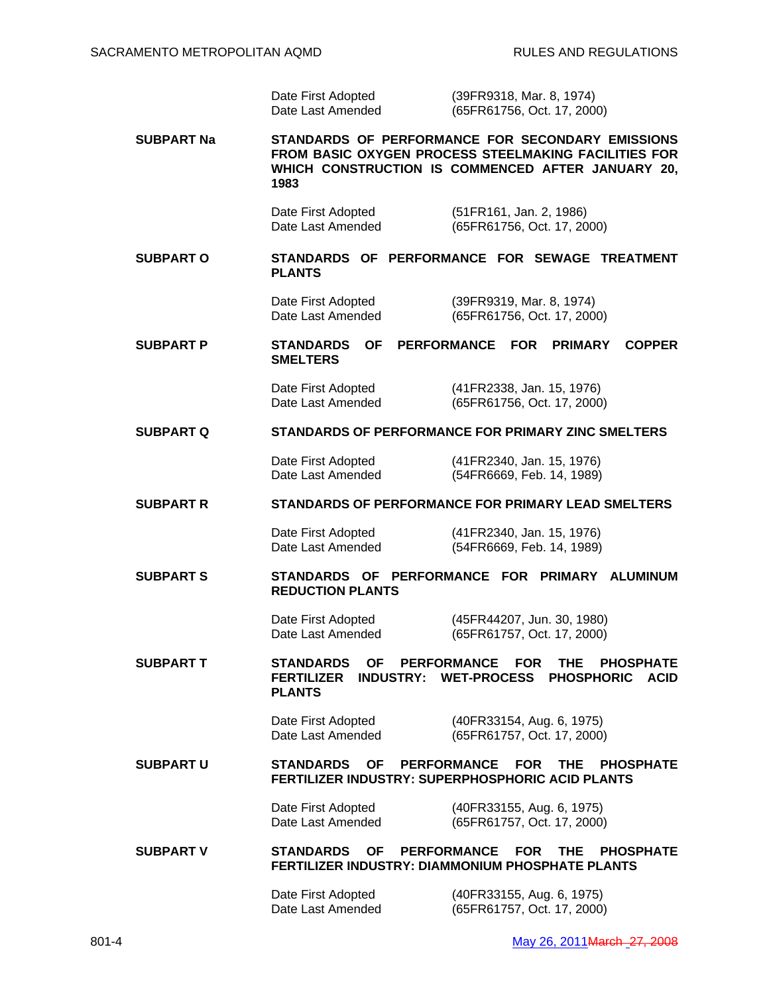| Date First Adopted | (39FR9318, Mar. 8, 1974)   |
|--------------------|----------------------------|
| Date Last Amended  | (65FR61756, Oct. 17, 2000) |

**SUBPART Na STANDARDS OF PERFORMANCE FOR SECONDARY EMISSIONS FROM BASIC OXYGEN PROCESS STEELMAKING FACILITIES FOR WHICH CONSTRUCTION IS COMMENCED AFTER JANUARY 20, 1983** 

 Date First Adopted (51FR161, Jan. 2, 1986) Date Last Amended (65FR61756, Oct. 17, 2000)

**SUBPART O STANDARDS OF PERFORMANCE FOR SEWAGE TREATMENT PLANTS** 

 Date First Adopted (39FR9319, Mar. 8, 1974) Date Last Amended (65FR61756, Oct. 17, 2000)

**SUBPART P STANDARDS OF PERFORMANCE FOR PRIMARY COPPER SMELTERS** 

 Date First Adopted (41FR2338, Jan. 15, 1976) Date Last Amended (65FR61756, Oct. 17, 2000)

#### **SUBPART Q STANDARDS OF PERFORMANCE FOR PRIMARY ZINC SMELTERS**

 Date First Adopted (41FR2340, Jan. 15, 1976) Date Last Amended (54FR6669, Feb. 14, 1989)

#### **SUBPART R STANDARDS OF PERFORMANCE FOR PRIMARY LEAD SMELTERS**

 Date First Adopted (41FR2340, Jan. 15, 1976) Date Last Amended (54FR6669, Feb. 14, 1989)

**SUBPART S STANDARDS OF PERFORMANCE FOR PRIMARY ALUMINUM REDUCTION PLANTS** 

> Date First Adopted (45FR44207, Jun. 30, 1980) Date Last Amended (65FR61757, Oct. 17, 2000)

**SUBPART T STANDARDS OF PERFORMANCE FOR THE PHOSPHATE FERTILIZER INDUSTRY: WET-PROCESS PHOSPHORIC ACID PLANTS** 

 Date First Adopted (40FR33154, Aug. 6, 1975) Date Last Amended (65FR61757, Oct. 17, 2000)

**SUBPART U STANDARDS OF PERFORMANCE FOR THE PHOSPHATE FERTILIZER INDUSTRY: SUPERPHOSPHORIC ACID PLANTS**

 Date First Adopted (40FR33155, Aug. 6, 1975) Date Last Amended (65FR61757, Oct. 17, 2000)

**SUBPART V STANDARDS OF PERFORMANCE FOR THE PHOSPHATE FERTILIZER INDUSTRY: DIAMMONIUM PHOSPHATE PLANTS** 

> Date First Adopted (40FR33155, Aug. 6, 1975) (65FR61757, Oct. 17, 2000)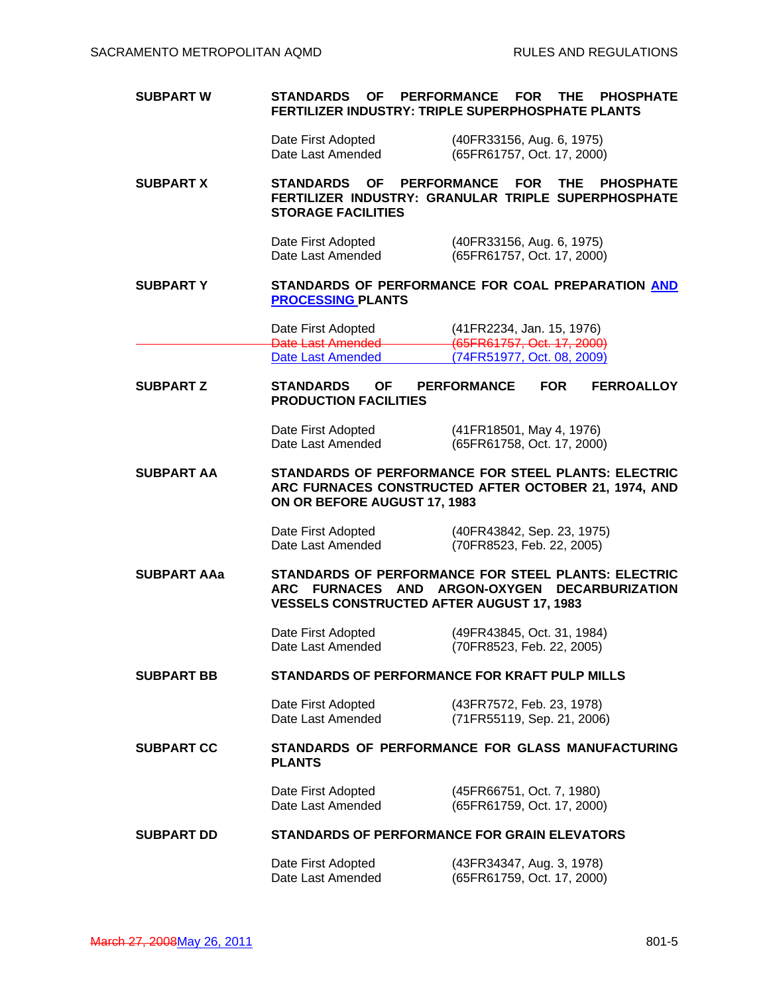# **SUBPART W STANDARDS OF PERFORMANCE FOR THE PHOSPHATE FERTILIZER INDUSTRY: TRIPLE SUPERPHOSPHATE PLANTS**

 Date First Adopted (40FR33156, Aug. 6, 1975) (65FR61757, Oct. 17, 2000)

## **SUBPART X STANDARDS OF PERFORMANCE FOR THE PHOSPHATE FERTILIZER INDUSTRY: GRANULAR TRIPLE SUPERPHOSPHATE STORAGE FACILITIES**

 Date First Adopted (40FR33156, Aug. 6, 1975) Date Last Amended (65FR61757, Oct. 17, 2000)

### **SUBPART Y STANDARDS OF PERFORMANCE FOR COAL PREPARATION AND PROCESSING PLANTS**

 Date First Adopted (41FR2234, Jan. 15, 1976) **Date Last Amended (65FR61757, Oct. 17, 2000)**<br>Date Last Amended (74FR51977, Oct. 08, 2009) (74FR51977, Oct. 08, 2009)

# **SUBPART Z STANDARDS OF PERFORMANCE FOR FERROALLOY PRODUCTION FACILITIES**

 Date First Adopted (41FR18501, May 4, 1976) Date Last Amended (65FR61758, Oct. 17, 2000)

**SUBPART AA STANDARDS OF PERFORMANCE FOR STEEL PLANTS: ELECTRIC ARC FURNACES CONSTRUCTED AFTER OCTOBER 21, 1974, AND ON OR BEFORE AUGUST 17, 1983** 

Date First Adopted (40FR43842, Sep. 23, 1975)<br>Date Last Amended (70FR8523, Feb. 22, 2005) (70FR8523, Feb. 22, 2005)

**SUBPART AAa STANDARDS OF PERFORMANCE FOR STEEL PLANTS: ELECTRIC ARC FURNACES AND ARGON-OXYGEN DECARBURIZATION VESSELS CONSTRUCTED AFTER AUGUST 17, 1983** 

> Date First Adopted (49FR43845, Oct. 31, 1984) Date Last Amended (70FR8523, Feb. 22, 2005)

# **SUBPART BB STANDARDS OF PERFORMANCE FOR KRAFT PULP MILLS**

 Date First Adopted (43FR7572, Feb. 23, 1978) (71FR55119, Sep. 21, 2006)

**SUBPART CC STANDARDS OF PERFORMANCE FOR GLASS MANUFACTURING PLANTS** 

> Date First Adopted (45FR66751, Oct. 7, 1980) Date Last Amended (65FR61759, Oct. 17, 2000)

# **SUBPART DD STANDARDS OF PERFORMANCE FOR GRAIN ELEVATORS**

 Date First Adopted (43FR34347, Aug. 3, 1978) (65FR61759, Oct. 17, 2000)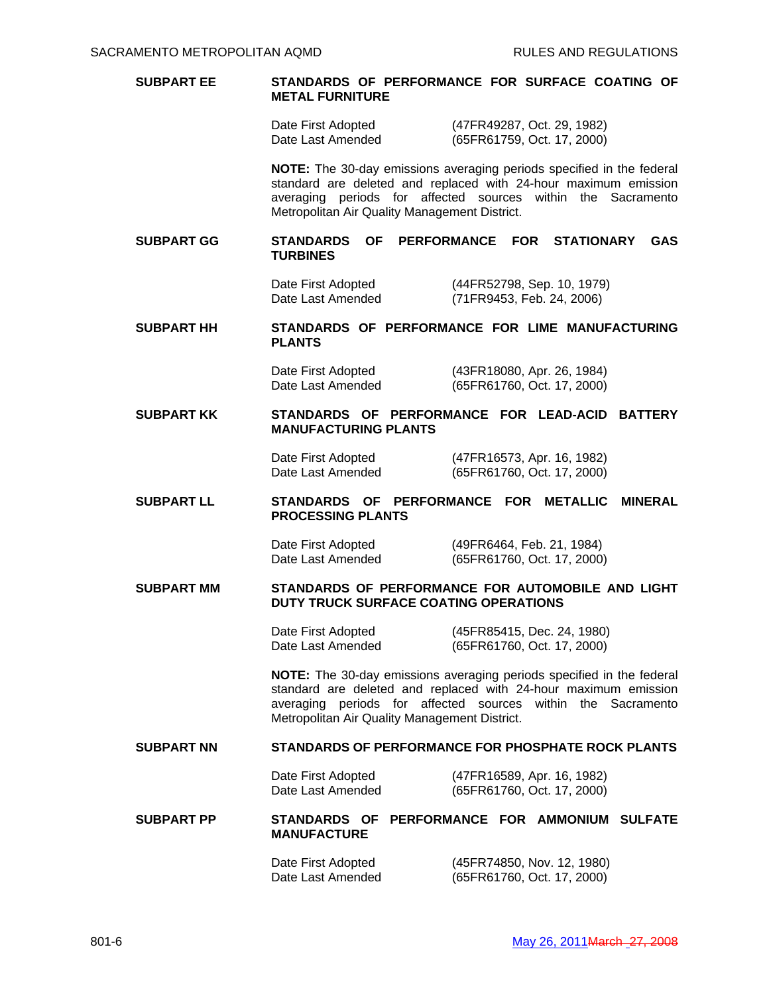### **SUBPART EE STANDARDS OF PERFORMANCE FOR SURFACE COATING OF METAL FURNITURE**

 Date First Adopted (47FR49287, Oct. 29, 1982) Date Last Amended (65FR61759, Oct. 17, 2000)

 **NOTE:** The 30-day emissions averaging periods specified in the federal standard are deleted and replaced with 24-hour maximum emission averaging periods for affected sources within the Sacramento Metropolitan Air Quality Management District.

#### **SUBPART GG STANDARDS OF PERFORMANCE FOR STATIONARY GAS TURBINES**

 Date First Adopted (44FR52798, Sep. 10, 1979) Date Last Amended (71FR9453, Feb. 24, 2006)

# **SUBPART HH STANDARDS OF PERFORMANCE FOR LIME MANUFACTURING PLANTS**

 Date First Adopted (43FR18080, Apr. 26, 1984) Date Last Amended (65FR61760, Oct. 17, 2000)

### **SUBPART KK STANDARDS OF PERFORMANCE FOR LEAD-ACID BATTERY MANUFACTURING PLANTS**

 Date First Adopted (47FR16573, Apr. 16, 1982) Date Last Amended (65FR61760, Oct. 17, 2000)

### **SUBPART LL STANDARDS OF PERFORMANCE FOR METALLIC MINERAL PROCESSING PLANTS**

 Date First Adopted (49FR6464, Feb. 21, 1984) Date Last Amended (65FR61760, Oct. 17, 2000)

#### **SUBPART MM STANDARDS OF PERFORMANCE FOR AUTOMOBILE AND LIGHT DUTY TRUCK SURFACE COATING OPERATIONS**

 Date First Adopted (45FR85415, Dec. 24, 1980) Date Last Amended (65FR61760, Oct. 17, 2000)

 **NOTE:** The 30-day emissions averaging periods specified in the federal standard are deleted and replaced with 24-hour maximum emission averaging periods for affected sources within the Sacramento Metropolitan Air Quality Management District.

#### **SUBPART NN STANDARDS OF PERFORMANCE FOR PHOSPHATE ROCK PLANTS**

 Date First Adopted (47FR16589, Apr. 16, 1982) Date Last Amended (65FR61760, Oct. 17, 2000)

### **SUBPART PP STANDARDS OF PERFORMANCE FOR AMMONIUM SULFATE MANUFACTURE**

 Date First Adopted (45FR74850, Nov. 12, 1980) Date Last Amended (65FR61760, Oct. 17, 2000)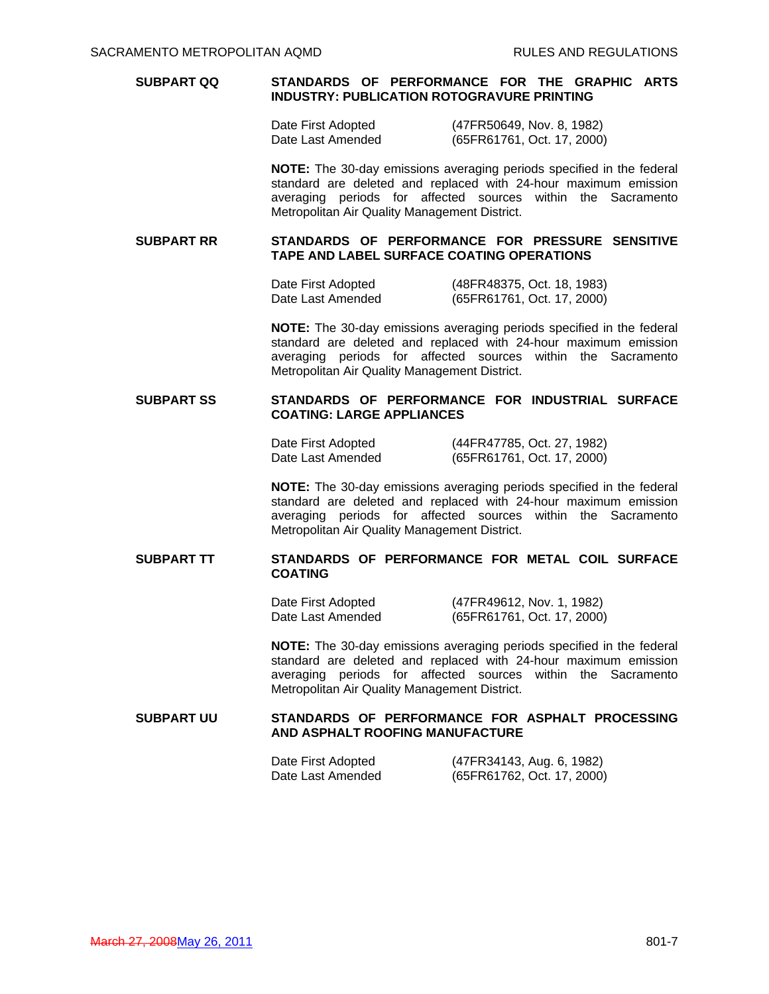### **SUBPART QQ STANDARDS OF PERFORMANCE FOR THE GRAPHIC ARTS INDUSTRY: PUBLICATION ROTOGRAVURE PRINTING**

 Date First Adopted (47FR50649, Nov. 8, 1982) Date Last Amended (65FR61761, Oct. 17, 2000)

 **NOTE:** The 30-day emissions averaging periods specified in the federal standard are deleted and replaced with 24-hour maximum emission averaging periods for affected sources within the Sacramento Metropolitan Air Quality Management District.

#### **SUBPART RR STANDARDS OF PERFORMANCE FOR PRESSURE SENSITIVE TAPE AND LABEL SURFACE COATING OPERATIONS**

 Date First Adopted (48FR48375, Oct. 18, 1983) Date Last Amended (65FR61761, Oct. 17, 2000)

 **NOTE:** The 30-day emissions averaging periods specified in the federal standard are deleted and replaced with 24-hour maximum emission averaging periods for affected sources within the Sacramento Metropolitan Air Quality Management District.

# **SUBPART SS STANDARDS OF PERFORMANCE FOR INDUSTRIAL SURFACE COATING: LARGE APPLIANCES**

 Date First Adopted (44FR47785, Oct. 27, 1982) Date Last Amended (65FR61761, Oct. 17, 2000)

 **NOTE:** The 30-day emissions averaging periods specified in the federal standard are deleted and replaced with 24-hour maximum emission averaging periods for affected sources within the Sacramento Metropolitan Air Quality Management District.

# **SUBPART TT STANDARDS OF PERFORMANCE FOR METAL COIL SURFACE COATING**

 Date First Adopted (47FR49612, Nov. 1, 1982) Date Last Amended (65FR61761, Oct. 17, 2000)

 **NOTE:** The 30-day emissions averaging periods specified in the federal standard are deleted and replaced with 24-hour maximum emission averaging periods for affected sources within the Sacramento Metropolitan Air Quality Management District.

#### **SUBPART UU STANDARDS OF PERFORMANCE FOR ASPHALT PROCESSING AND ASPHALT ROOFING MANUFACTURE**

| Date First Adopted | (47FR34143, Aug. 6, 1982)  |
|--------------------|----------------------------|
| Date Last Amended  | (65FR61762, Oct. 17, 2000) |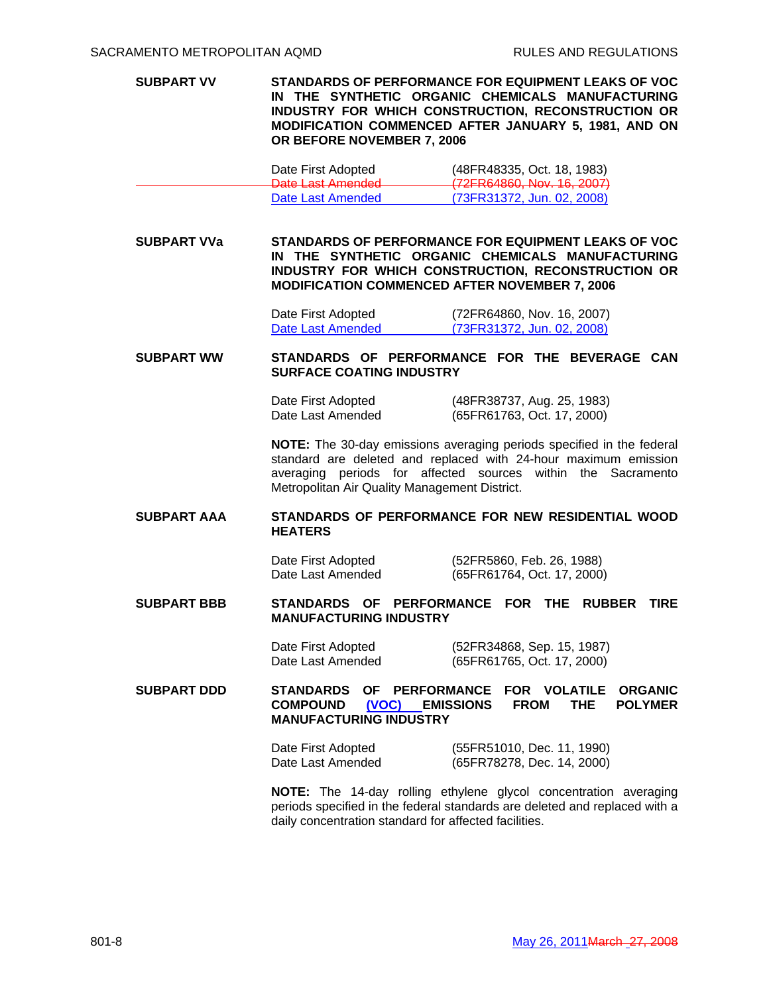**SUBPART VV STANDARDS OF PERFORMANCE FOR EQUIPMENT LEAKS OF VOC IN THE SYNTHETIC ORGANIC CHEMICALS MANUFACTURING INDUSTRY FOR WHICH CONSTRUCTION, RECONSTRUCTION OR MODIFICATION COMMENCED AFTER JANUARY 5, 1981, AND ON OR BEFORE NOVEMBER 7, 2006** 

| Date First Adopted                            | (48FR48335, Oct. 18, 1983)                                           |
|-----------------------------------------------|----------------------------------------------------------------------|
| Data Last Amondod<br><b>Dalo Laol Amondou</b> | $(722PRARA)$ Nov 18 $2007$<br><del>(121 KO4000, NOV. TO, 2007)</del> |
| Date Last Amended                             | (73FR31372, Jun. 02, 2008)                                           |

**SUBPART VVa STANDARDS OF PERFORMANCE FOR EQUIPMENT LEAKS OF VOC IN THE SYNTHETIC ORGANIC CHEMICALS MANUFACTURING INDUSTRY FOR WHICH CONSTRUCTION, RECONSTRUCTION OR MODIFICATION COMMENCED AFTER NOVEMBER 7, 2006** 

> Date First Adopted (72FR64860, Nov. 16, 2007) Date Last Amended (73FR31372, Jun. 02, 2008)

**SUBPART WW STANDARDS OF PERFORMANCE FOR THE BEVERAGE CAN SURFACE COATING INDUSTRY** 

> Date First Adopted (48FR38737, Aug. 25, 1983) Date Last Amended (65FR61763, Oct. 17, 2000)

 **NOTE:** The 30-day emissions averaging periods specified in the federal standard are deleted and replaced with 24-hour maximum emission averaging periods for affected sources within the Sacramento Metropolitan Air Quality Management District.

**SUBPART AAA STANDARDS OF PERFORMANCE FOR NEW RESIDENTIAL WOOD HEATERS**

> Date First Adopted (52FR5860, Feb. 26, 1988) Date Last Amended (65FR61764, Oct. 17, 2000)

**SUBPART BBB STANDARDS OF PERFORMANCE FOR THE RUBBER TIRE MANUFACTURING INDUSTRY** 

> Date First Adopted (52FR34868, Sep. 15, 1987) Date Last Amended (65FR61765, Oct. 17, 2000)

**SUBPART DDD STANDARDS OF PERFORMANCE FOR VOLATILE ORGANIC COMPOUND (VOC) EMISSIONS FROM THE POLYMER MANUFACTURING INDUSTRY** 

> Date First Adopted (55FR51010, Dec. 11, 1990) Date Last Amended (65FR78278, Dec. 14, 2000)

 **NOTE:** The 14-day rolling ethylene glycol concentration averaging periods specified in the federal standards are deleted and replaced with a daily concentration standard for affected facilities.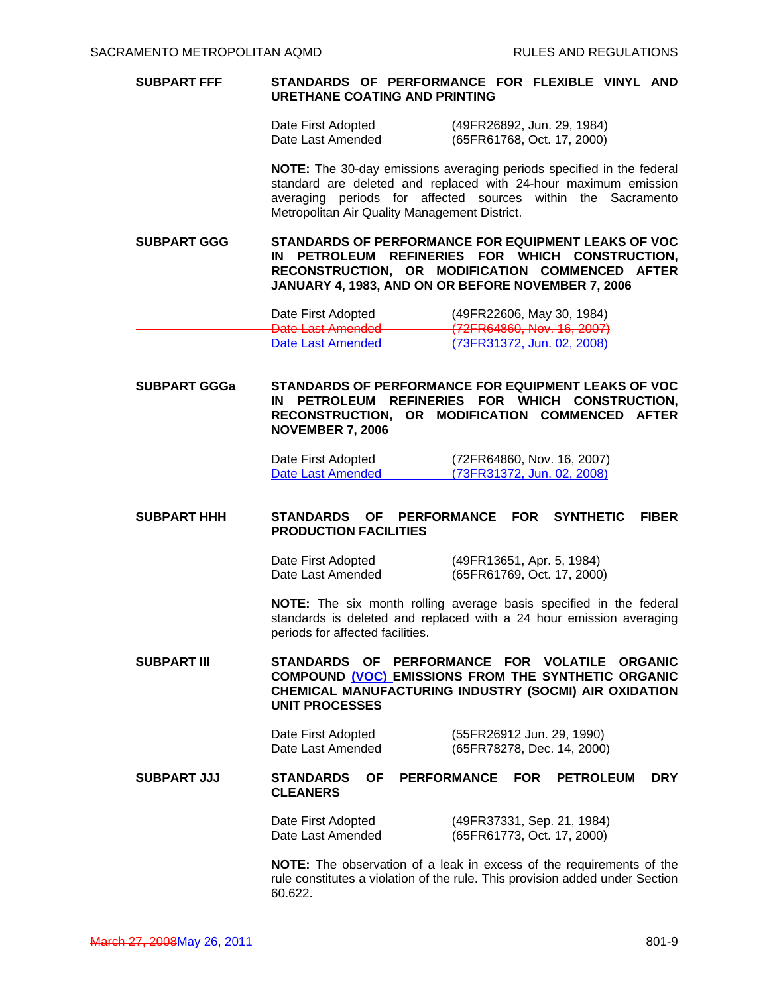### **SUBPART FFF STANDARDS OF PERFORMANCE FOR FLEXIBLE VINYL AND URETHANE COATING AND PRINTING**

| Date First Adopted | (49FR26892, Jun. 29, 1984) |
|--------------------|----------------------------|
| Date Last Amended  | (65FR61768, Oct. 17, 2000) |

 **NOTE:** The 30-day emissions averaging periods specified in the federal standard are deleted and replaced with 24-hour maximum emission averaging periods for affected sources within the Sacramento Metropolitan Air Quality Management District.

**SUBPART GGG STANDARDS OF PERFORMANCE FOR EQUIPMENT LEAKS OF VOC IN PETROLEUM REFINERIES FOR WHICH CONSTRUCTION, RECONSTRUCTION, OR MODIFICATION COMMENCED AFTER JANUARY 4, 1983, AND ON OR BEFORE NOVEMBER 7, 2006**

| Date First Adopted                  | (49FR22606, May 30, 1984)                                        |
|-------------------------------------|------------------------------------------------------------------|
| Data Last Amondod<br>рам нажителями | (72EDAARAN N <sub>0</sub> , 16.2007)<br>12110000, 1101. 10, 2001 |
| Date Last Amended                   | (73FR31372, Jun. 02, 2008)                                       |

**SUBPART GGGa STANDARDS OF PERFORMANCE FOR EQUIPMENT LEAKS OF VOC IN PETROLEUM REFINERIES FOR WHICH CONSTRUCTION, RECONSTRUCTION, OR MODIFICATION COMMENCED AFTER NOVEMBER 7, 2006** 

> Date First Adopted (72FR64860, Nov. 16, 2007) Date Last Amended (73FR31372, Jun. 02, 2008)

### **SUBPART HHH STANDARDS OF PERFORMANCE FOR SYNTHETIC FIBER PRODUCTION FACILITIES**

 Date First Adopted (49FR13651, Apr. 5, 1984) Date Last Amended (65FR61769, Oct. 17, 2000)

 **NOTE:** The six month rolling average basis specified in the federal standards is deleted and replaced with a 24 hour emission averaging periods for affected facilities.

**SUBPART III STANDARDS OF PERFORMANCE FOR VOLATILE ORGANIC COMPOUND (VOC) EMISSIONS FROM THE SYNTHETIC ORGANIC CHEMICAL MANUFACTURING INDUSTRY (SOCMI) AIR OXIDATION UNIT PROCESSES** 

> Date First Adopted (55FR26912 Jun. 29, 1990) Date Last Amended (65FR78278, Dec. 14, 2000)

**SUBPART JJJ STANDARDS OF PERFORMANCE FOR PETROLEUM DRY CLEANERS** 

> Date First Adopted (49FR37331, Sep. 21, 1984) Date Last Amended (65FR61773, Oct. 17, 2000)

 **NOTE:** The observation of a leak in excess of the requirements of the rule constitutes a violation of the rule. This provision added under Section 60.622.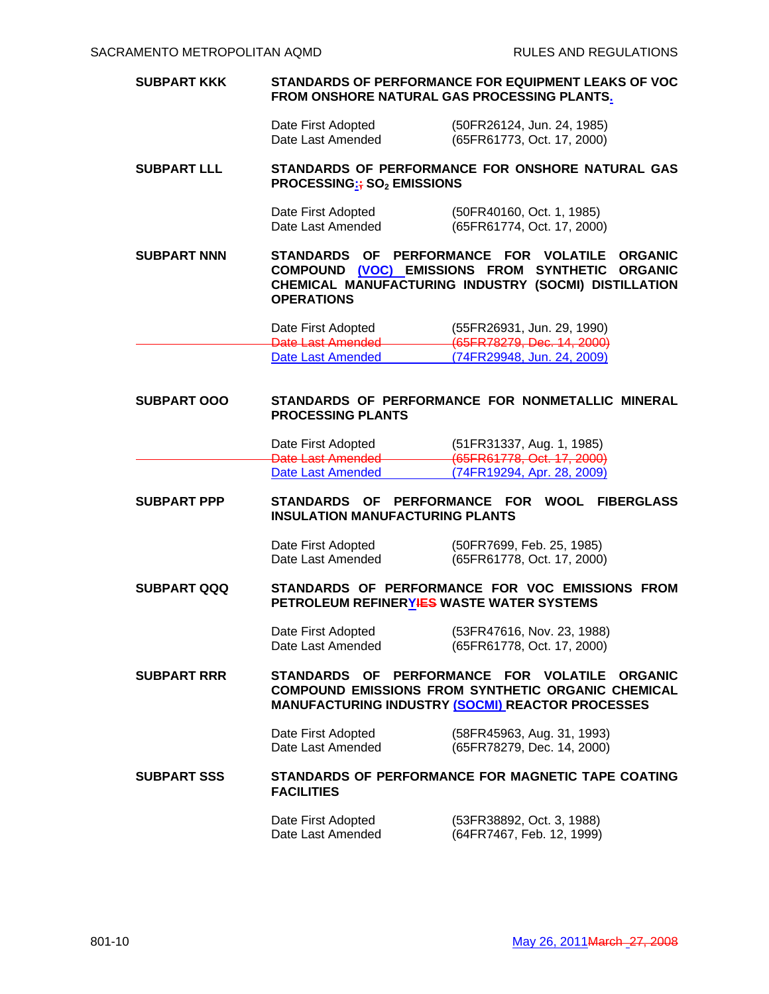### **SUBPART KKK STANDARDS OF PERFORMANCE FOR EQUIPMENT LEAKS OF VOC FROM ONSHORE NATURAL GAS PROCESSING PLANTS.**

 Date First Adopted (50FR26124, Jun. 24, 1985) Date Last Amended (65FR61773, Oct. 17, 2000)

#### **SUBPART LLL STANDARDS OF PERFORMANCE FOR ONSHORE NATURAL GAS PROCESSING:**; SO<sub>2</sub> EMISSIONS

| Date First Adopted | (50FR40160, Oct. 1, 1985)  |
|--------------------|----------------------------|
| Date Last Amended  | (65FR61774, Oct. 17, 2000) |

**SUBPART NNN STANDARDS OF PERFORMANCE FOR VOLATILE ORGANIC COMPOUND (VOC) EMISSIONS FROM SYNTHETIC ORGANIC CHEMICAL MANUFACTURING INDUSTRY (SOCMI) DISTILLATION OPERATIONS** 

 Date First Adopted (55FR26931, Jun. 29, 1990) Date Last Amended (65FR78279, Dec. 14, 2000) Date Last Amended

# **SUBPART OOO STANDARDS OF PERFORMANCE FOR NONMETALLIC MINERAL PROCESSING PLANTS**

| Date First Adopted                        | (51FR31337, Aug. 1, 1985)                                           |
|-------------------------------------------|---------------------------------------------------------------------|
| - Data Laet Amandad<br>рако наок линопоса | $(65FRR177R$ Oct 17 2000)<br><del>1001 KOH TO, OUI. H , 2000)</del> |
| Date Last Amended                         | (74FR19294, Apr. 28, 2009)                                          |

#### **SUBPART PPP STANDARDS OF PERFORMANCE FOR WOOL FIBERGLASS INSULATION MANUFACTURING PLANTS**

Date First Adopted (50FR7699, Feb. 25, 1985)<br>Date Last Amended (65FR61778, Oct. 17, 2000) (65FR61778, Oct. 17, 2000)

#### **SUBPART QQQ STANDARDS OF PERFORMANCE FOR VOC EMISSIONS FROM PETROLEUM REFINERYIES WASTE WATER SYSTEMS**

 Date First Adopted (53FR47616, Nov. 23, 1988) Date Last Amended (65FR61778, Oct. 17, 2000)

**SUBPART RRR STANDARDS OF PERFORMANCE FOR VOLATILE ORGANIC COMPOUND EMISSIONS FROM SYNTHETIC ORGANIC CHEMICAL MANUFACTURING INDUSTRY (SOCMI) REACTOR PROCESSES** 

> Date First Adopted (58FR45963, Aug. 31, 1993)<br>Date Last Amended (65FR78279, Dec. 14, 2000) (65FR78279, Dec. 14, 2000)

# SUBPART SSS **STANDARDS OF PERFORMANCE FOR MAGNETIC TAPE COATING FACILITIES**

 Date First Adopted (53FR38892, Oct. 3, 1988) Date Last Amended (64FR7467, Feb. 12, 1999)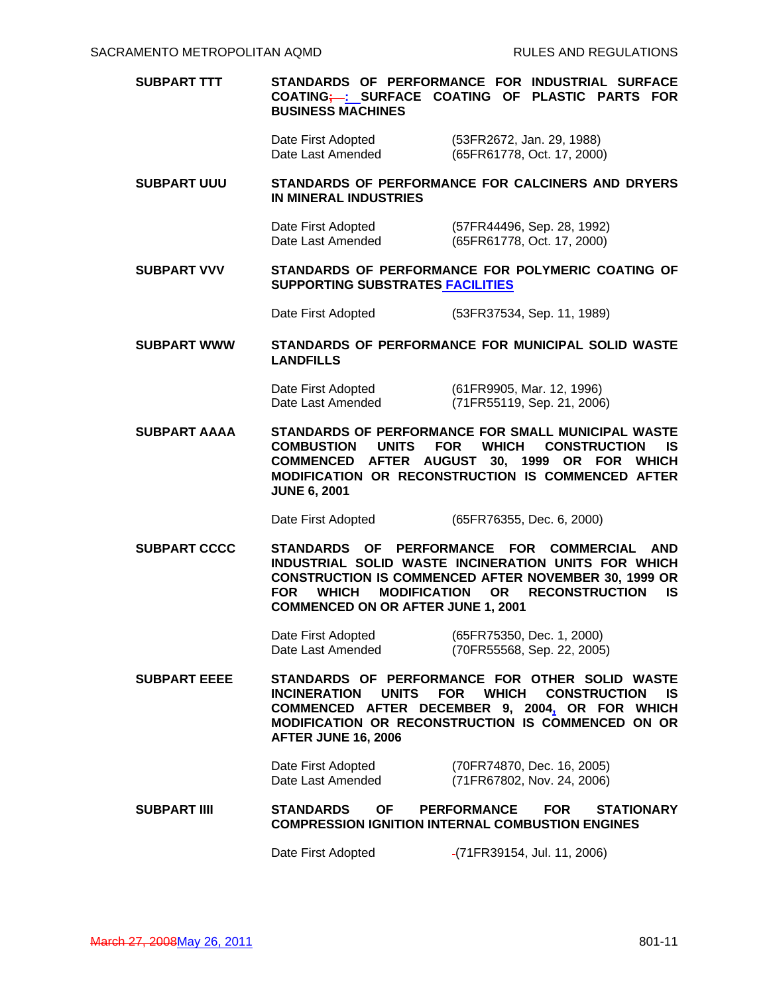# **SUBPART TTT STANDARDS OF PERFORMANCE FOR INDUSTRIAL SURFACE COATING; : SURFACE COATING OF PLASTIC PARTS FOR BUSINESS MACHINES**

 Date First Adopted (53FR2672, Jan. 29, 1988) Date Last Amended (65FR61778, Oct. 17, 2000)

### **SUBPART UUU STANDARDS OF PERFORMANCE FOR CALCINERS AND DRYERS IN MINERAL INDUSTRIES**

- Date First Adopted (57FR44496, Sep. 28, 1992)<br>Date Last Amended (65FR61778, Oct. 17, 2000) (65FR61778, Oct. 17, 2000)
- **SUBPART VVV STANDARDS OF PERFORMANCE FOR POLYMERIC COATING OF SUPPORTING SUBSTRATES FACILITIES**

Date First Adopted (53FR37534, Sep. 11, 1989)

### **SUBPART WWW STANDARDS OF PERFORMANCE FOR MUNICIPAL SOLID WASTE LANDFILLS**

 Date First Adopted (61FR9905, Mar. 12, 1996) Date Last Amended (71FR55119, Sep. 21, 2006)

**SUBPART AAAA STANDARDS OF PERFORMANCE FOR SMALL MUNICIPAL WASTE COMBUSTION UNITS FOR WHICH CONSTRUCTION IS COMMENCED AFTER AUGUST 30, 1999 OR FOR WHICH MODIFICATION OR RECONSTRUCTION IS COMMENCED AFTER JUNE 6, 2001** 

Date First Adopted (65FR76355, Dec. 6, 2000)

**SUBPART CCCC STANDARDS OF PERFORMANCE FOR COMMERCIAL AND INDUSTRIAL SOLID WASTE INCINERATION UNITS FOR WHICH CONSTRUCTION IS COMMENCED AFTER NOVEMBER 30, 1999 OR FOR WHICH MODIFICATION OR RECONSTRUCTION IS COMMENCED ON OR AFTER JUNE 1, 2001** 

> Date First Adopted (65FR75350, Dec. 1, 2000) Date Last Amended (70FR55568, Sep. 22, 2005)

**SUBPART EEEE STANDARDS OF PERFORMANCE FOR OTHER SOLID WASTE INCINERATION UNITS FOR WHICH CONSTRUCTION IS COMMENCED AFTER DECEMBER 9, 2004, OR FOR WHICH MODIFICATION OR RECONSTRUCTION IS COMMENCED ON OR AFTER JUNE 16, 2006** 

> Date First Adopted (70FR74870, Dec. 16, 2005) (71FR67802, Nov. 24, 2006)

### **SUBPART IIII STANDARDS OF PERFORMANCE FOR STATIONARY COMPRESSION IGNITION INTERNAL COMBUSTION ENGINES**

Date First Adopted (71FR39154, Jul. 11, 2006)